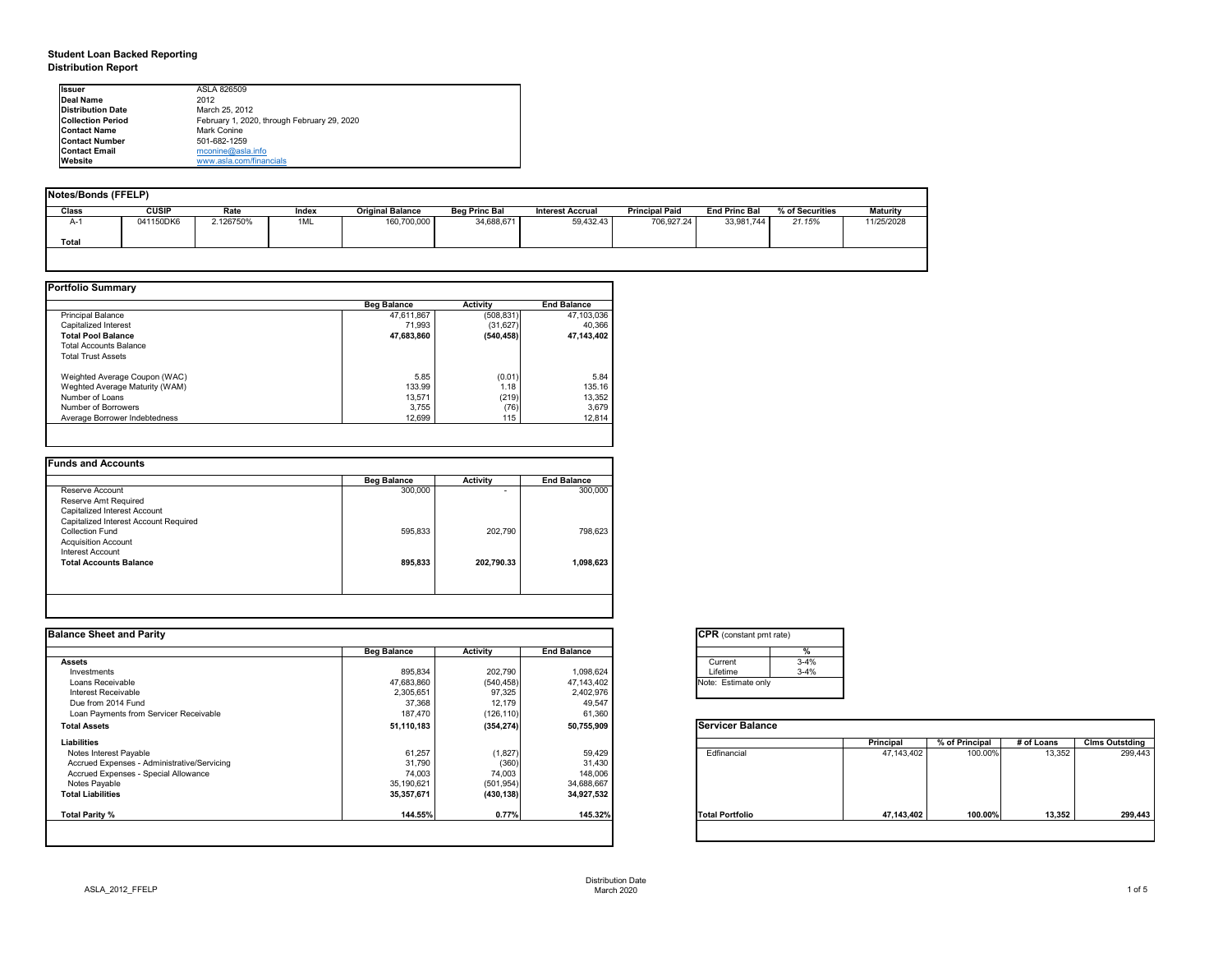# **Student Loan Backed Reporting Distribution Report**

| Notes/Bonds (FFELP) |              |           |       |                         |                      |                         |                       |                      |                 |                 |
|---------------------|--------------|-----------|-------|-------------------------|----------------------|-------------------------|-----------------------|----------------------|-----------------|-----------------|
| <b>Class</b>        | <b>CUSIP</b> | Rate      | Index | <b>Original Balance</b> | <b>Beg Princ Bal</b> | <b>Interest Accrual</b> | <b>Principal Paid</b> | <b>End Princ Bal</b> | % of Securities | <b>Maturity</b> |
| A-1                 | 041150DK6    | 2.126750% | 1ML   | 160,700,000             | 34,688,671           | 59,432.43               | 706,927.24            | 33,981,744           | 21.15%          | 11/25/2028      |
| <b>Total</b>        |              |           |       |                         |                      |                         |                       |                      |                 |                 |
|                     |              |           |       |                         |                      |                         |                       |                      |                 |                 |

|                                | <b>Beg Balance</b> | <b>Activity</b> | <b>End Balance</b> |
|--------------------------------|--------------------|-----------------|--------------------|
| <b>Principal Balance</b>       | 47,611,867         | (508, 831)      | 47,103,036         |
| Capitalized Interest           | 71,993             | (31, 627)       | 40,366             |
| <b>Total Pool Balance</b>      | 47,683,860         | (540, 458)      | 47,143,402         |
| <b>Total Accounts Balance</b>  |                    |                 |                    |
| <b>Total Trust Assets</b>      |                    |                 |                    |
| Weighted Average Coupon (WAC)  | 5.85               | (0.01)          | 5.84               |
| Weghted Average Maturity (WAM) | 133.99             | 1.18            | 135.16             |
| Number of Loans                | 13,571             | (219)           | 13,352             |
| Number of Borrowers            | 3,755              | (76)            | 3,679              |
| Average Borrower Indebtedness  | 12,699             | 115             | 12,814             |

|                                       | <b>Beg Balance</b> | <b>Activity</b> | <b>End Balance</b> |
|---------------------------------------|--------------------|-----------------|--------------------|
| Reserve Account                       | 300,000            | -               | 300,000            |
| Reserve Amt Required                  |                    |                 |                    |
| Capitalized Interest Account          |                    |                 |                    |
| Capitalized Interest Account Required |                    |                 |                    |
| <b>Collection Fund</b>                | 595,833            | 202,790         | 798,623            |
| <b>Acquisition Account</b>            |                    |                 |                    |
| Interest Account                      |                    |                 |                    |
| <b>Total Accounts Balance</b>         | 895,833            | 202,790.33      | 1,098,623          |
|                                       |                    |                 |                    |
|                                       |                    |                 |                    |

| <b>Ilssuer</b>           | ASLA 826509                                 |  |  |  |  |  |  |  |
|--------------------------|---------------------------------------------|--|--|--|--|--|--|--|
| Deal Name                | 2012                                        |  |  |  |  |  |  |  |
| <b>Distribution Date</b> | March 25, 2012                              |  |  |  |  |  |  |  |
| <b>Collection Period</b> | February 1, 2020, through February 29, 2020 |  |  |  |  |  |  |  |
| <b>IContact Name</b>     | Mark Conine                                 |  |  |  |  |  |  |  |
| <b>IContact Number</b>   | 501-682-1259                                |  |  |  |  |  |  |  |
| <b>Contact Email</b>     | $m$ conine@asla.info                        |  |  |  |  |  |  |  |
| <b>IWebsite</b>          | www.asla.com/financials                     |  |  |  |  |  |  |  |

| <b>Balance Sheet and Parity</b>             |                    |                 |                    | <b>CPR</b> (constant pmt rate) |                  |                |            |                       |
|---------------------------------------------|--------------------|-----------------|--------------------|--------------------------------|------------------|----------------|------------|-----------------------|
|                                             | <b>Beg Balance</b> | <b>Activity</b> | <b>End Balance</b> |                                |                  |                |            |                       |
| <b>Assets</b>                               |                    |                 |                    | $3 - 4%$<br>Current            |                  |                |            |                       |
| Investments                                 | 895,834            | 202,790         | 1,098,624          | Lifetime<br>$3 - 4%$           |                  |                |            |                       |
| Loans Receivable                            | 47,683,860         | (540, 458)      | 47,143,402         | Note: Estimate only            |                  |                |            |                       |
| Interest Receivable                         | 2,305,651          | 97,325          | 2,402,976          |                                |                  |                |            |                       |
| Due from 2014 Fund                          | 37,368             | 12,179          | 49,547             |                                |                  |                |            |                       |
| Loan Payments from Servicer Receivable      | 187,470            | (126, 110)      | 61,360             |                                |                  |                |            |                       |
| <b>Total Assets</b>                         | 51,110,183         | (354, 274)      | 50,755,909         | <b>Servicer Balance</b>        |                  |                |            |                       |
| <b>Liabilities</b>                          |                    |                 |                    |                                | <b>Principal</b> | % of Principal | # of Loans | <b>Clms Outstding</b> |
| Notes Interest Payable                      | 61,257             | (1,827)         | 59,429             | Edfinancial                    | 47,143,402       | 100.00%        | 13,352     | 299,443               |
| Accrued Expenses - Administrative/Servicing | 31,790             | (360)           | 31,430             |                                |                  |                |            |                       |
| Accrued Expenses - Special Allowance        | 74,003             | 74,003          | 148,006            |                                |                  |                |            |                       |
| Notes Payable                               | 35,190,621         | (501, 954)      | 34,688,667         |                                |                  |                |            |                       |
| <b>Total Liabilities</b>                    | 35,357,671         | (430, 138)      | 34,927,532         |                                |                  |                |            |                       |
| Total Parity %                              | 144.55%            | 0.77%           | 145.32%            | <b>Total Portfolio</b>         | 47,143,402       | 100.00%        | 13,352     | 299,443               |

| tant pmt rate) |          |
|----------------|----------|
|                | %        |
|                | $3 - 4%$ |
|                | $3 - 4%$ |
| ate only       |          |

| Balance |            |                |            |                       |
|---------|------------|----------------|------------|-----------------------|
|         | Principal  | % of Principal | # of Loans | <b>Clms Outstding</b> |
| al      | 47,143,402 | 100.00%        | 13,352     | 299,443               |
| olio    | 47,143,402 | 100.00%        | 13,352     | 299,443               |
|         |            |                |            |                       |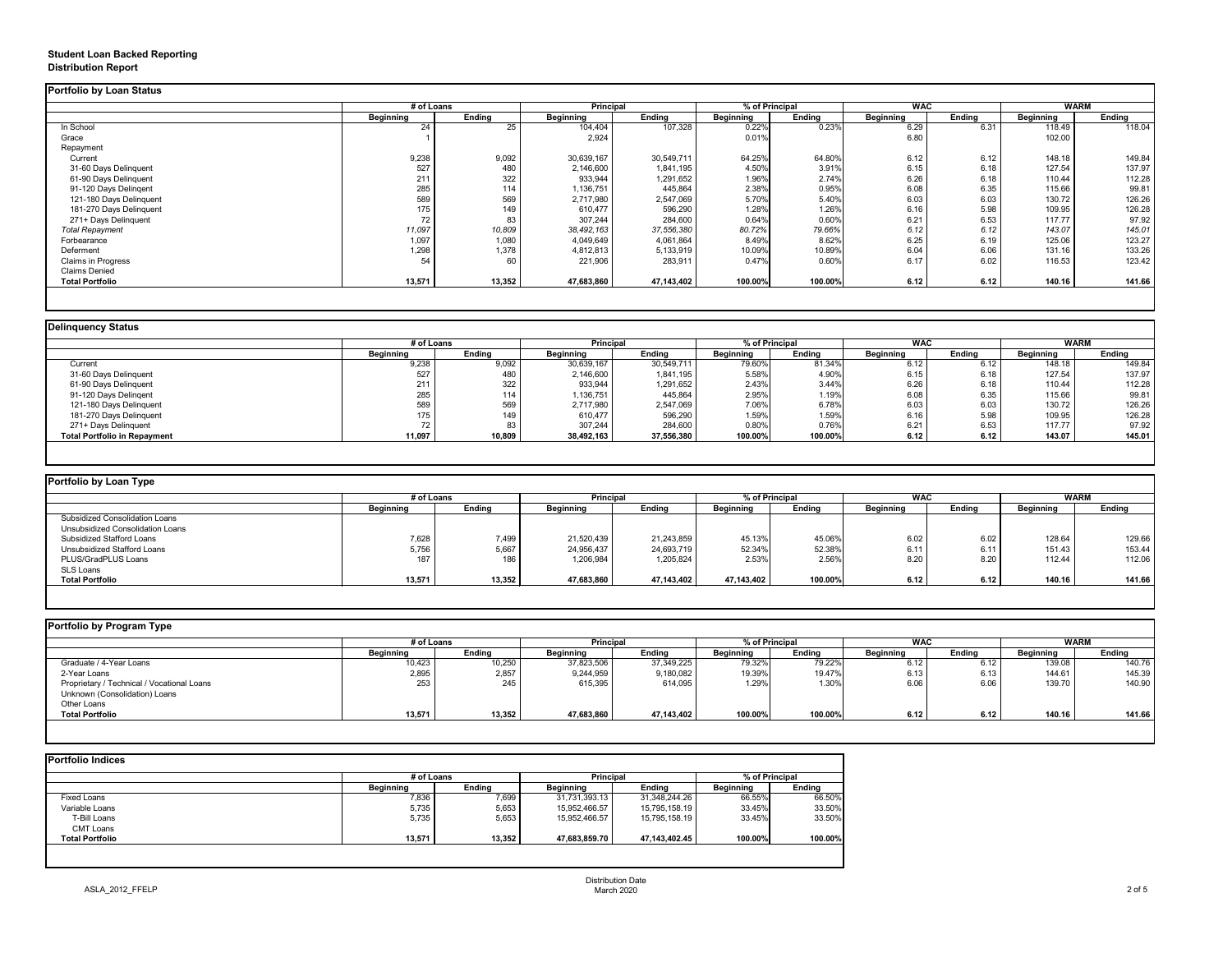# **Student Loan Backed Reporting Distribution Report**

### **Delinquency Status**

|                           | # of Loans       |               | <b>Principal</b> |               | % of Principal   |               | <b>WAC</b>       |               | <b>WARM</b>      |               |
|---------------------------|------------------|---------------|------------------|---------------|------------------|---------------|------------------|---------------|------------------|---------------|
|                           | <b>Beginning</b> | <b>Ending</b> | <b>Beginning</b> | <b>Ending</b> | <b>Beginning</b> | <b>Ending</b> | <b>Beginning</b> | <b>Ending</b> | <b>Beginning</b> | <b>Ending</b> |
| In School                 | 24               | 25            | 104,404          | 107,328       | 0.22%            | 0.23%         | 6.29             | 6.31          | 118.49           | 118.04        |
| Grace                     |                  |               | 2,924            |               | 0.01%            |               | 6.80             |               | 102.00           |               |
| Repayment                 |                  |               |                  |               |                  |               |                  |               |                  |               |
| Current                   | 9,238            | 9,092         | 30,639,167       | 30,549,711    | 64.25%           | 64.80%        | 6.12             | 6.12          | 148.18           | 149.84        |
| 31-60 Days Delinquent     | 527              | 480           | 2,146,600        | 1,841,195     | 4.50%            | 3.91%         | 6.15             | 6.18          | 127.54           | 137.97        |
| 61-90 Days Delinquent     | 211              | 322           | 933,944          | 1,291,652     | 1.96%            | 2.74%         | 6.26             | 6.18          | 110.44           | 112.28        |
| 91-120 Days Delingent     | 285              | 114           | 1,136,751        | 445,864       | 2.38%            | 0.95%         | 6.08             | 6.35          | 115.66           | 99.81         |
| 121-180 Days Delinquent   | 589              | 569           | 2,717,980        | 2,547,069     | 5.70%            | 5.40%         | 6.03             | 6.03          | 130.72           | 126.26        |
| 181-270 Days Delinquent   | 175              | 149           | 610,477          | 596,290       | 1.28%            | 1.26%         | 6.16             | 5.98          | 109.95           | 126.28        |
| 271+ Days Delinquent      | 72               | 83            | 307,244          | 284,600       | 0.64%            | 0.60%         | 6.21             | 6.53          | 117.77           | 97.92         |
| <b>Total Repayment</b>    | 11,097           | 10,809        | 38,492,163       | 37,556,380    | 80.72%           | 79.66%        | 6.12             | 6.12          | 143.07           | 145.01        |
| Forbearance               | 1,097            | 1,080         | 4,049,649        | 4,061,864     | 8.49%            | 8.62%         | 6.25             | 6.19          | 125.06           | 123.27        |
| Deferment                 | 1,298            | 1,378         | 4,812,813        | 5,133,919     | 10.09%           | 10.89%        | 6.04             | 6.06          | 131.16           | 133.26        |
| <b>Claims in Progress</b> | 54               | 60            | 221,906          | 283,911       | 0.47%            | 0.60%         | 6.17             | 6.02          | 116.53           | 123.42        |
| <b>Claims Denied</b>      |                  |               |                  |               |                  |               |                  |               |                  |               |
| <b>Total Portfolio</b>    | 13,571           | 13,352        | 47,683,860       | 47,143,402    | 100.00%          | 100.00%       | 6.12             | 6.12          | 140.16           | 141.66        |

|                                     | # of Loans       |               | <b>Principal</b> |               | % of Principal   |               | <b>WAC</b><br><b>WARM</b> |               |                  |               |
|-------------------------------------|------------------|---------------|------------------|---------------|------------------|---------------|---------------------------|---------------|------------------|---------------|
|                                     | <b>Beginning</b> | <b>Ending</b> | <b>Beginning</b> | <b>Ending</b> | <b>Beginning</b> | <b>Ending</b> | <b>Beginning</b>          | <b>Ending</b> | <b>Beginning</b> | <b>Ending</b> |
| Current                             | 9,238            | 9,092         | 30,639,167       | 30,549,711    | 79.60%           | 81.34%        | 6.12                      | 6.12          | 148.18           | 149.84        |
| 31-60 Days Delinquent               | 527              | 480           | 2,146,600        | 1,841,195     | 5.58%            | 4.90%         | 6.15                      | 6.18          | 127.54           | 137.97        |
| 61-90 Days Delinquent               | 211              | 322           | 933,944          | 1,291,652     | 2.43%            | 3.44%         | 6.26                      | 6.18          | 110.44           | 112.28        |
| 91-120 Days Delingent               | 285              | 114           | 1,136,751        | 445,864       | 2.95%            | 1.19%         | 6.08                      | 6.35          | 115.66           | 99.81         |
| 121-180 Days Delinquent             | 589              | 569           | 2,717,980        | 2,547,069     | 7.06%            | 6.78%         | 6.03                      | 6.03          | 130.72           | 126.26        |
| 181-270 Days Delinquent             | 175              | 149           | 610,477          | 596,290       | 1.59%            | 1.59%         | 6.16                      | 5.98          | 109.95           | 126.28        |
| 271+ Days Delinquent                |                  | 83            | 307,244          | 284,600       | 0.80%            | 0.76%         | 6.21                      | 6.53          | 117.77           | 97.92         |
| <b>Total Portfolio in Repayment</b> | 11,097           | 10,809        | 38,492,163       | 37,556,380    | 100.00%          | 100.00%       | 6.12                      | 6.12          | 143.07           | 145.01        |

| <b>Portfolio by Loan Type</b>         |                  |               |                  |               |                              |               |                  |               |                  |        |
|---------------------------------------|------------------|---------------|------------------|---------------|------------------------------|---------------|------------------|---------------|------------------|--------|
|                                       | # of Loans       |               | <b>Principal</b> |               | <b>WAC</b><br>% of Principal |               | <b>WARM</b>      |               |                  |        |
|                                       | <b>Beginning</b> | <b>Ending</b> | <b>Beginning</b> | <b>Ending</b> | <b>Beginning</b>             | <b>Ending</b> | <b>Beginning</b> | <b>Ending</b> | <b>Beginning</b> | Ending |
| <b>Subsidized Consolidation Loans</b> |                  |               |                  |               |                              |               |                  |               |                  |        |
| Unsubsidized Consolidation Loans      |                  |               |                  |               |                              |               |                  |               |                  |        |
| <b>Subsidized Stafford Loans</b>      | 7,628            | 7,499         | 21,520,439       | 21,243,859    | 45.13%                       | 45.06%        | 6.02             | 6.02          | 128.64           | 129.66 |
| Unsubsidized Stafford Loans           | 5,756            | 5,667         | 24,956,437       | 24,693,719    | 52.34%                       | 52.38%        | 6.11             | 6.11          | 151.43           | 153.44 |
| PLUS/GradPLUS Loans                   | 187              | 186           | 1,206,984        | 1,205,824     | 2.53%                        | 2.56%         | 8.20             | 8.20          | 112.44           | 112.06 |
| SLS Loans                             |                  |               |                  |               |                              |               |                  |               |                  |        |
| <b>Total Portfolio</b>                | 13,571           | 13,352        | 47,683,860       | 47,143,402    | 47,143,402                   | 100.00%       | 6.12             | 6.12          | 140.16           | 141.66 |

|  |  | Portfolio by Program Type |  |
|--|--|---------------------------|--|
|--|--|---------------------------|--|

| <b>Portfolio by Program Type</b>           |                  |               |                  |               |                  |               |                  |               |                  |               |
|--------------------------------------------|------------------|---------------|------------------|---------------|------------------|---------------|------------------|---------------|------------------|---------------|
|                                            | # of Loans       |               | Principal        |               | % of Principal   |               | <b>WAC</b>       |               |                  | <b>WARM</b>   |
|                                            | <b>Beginning</b> | <b>Ending</b> | <b>Beginning</b> | <b>Ending</b> | <b>Beginning</b> | <b>Ending</b> | <b>Beginning</b> | <b>Ending</b> | <b>Beginning</b> | <b>Ending</b> |
| Graduate / 4-Year Loans                    | 10,423           | 10,250        | 37,823,506       | 37,349,225    | 79.32%           | 79.22%        | 6.12             | 6.12          | 139.08           | 140.76        |
| 2-Year Loans                               | 2,895            | 2,857         | 9,244,959        | 9,180,082     | 19.39%           | 19.47%        | 6.13             | 6.13          | 144.61           | 145.39        |
| Proprietary / Technical / Vocational Loans | 253              | 245           | 615,395          | 614,095       | 1.29%            | 1.30%         | 6.06             | 6.06          | 139.70           | 140.90        |
| Unknown (Consolidation) Loans              |                  |               |                  |               |                  |               |                  |               |                  |               |
| Other Loans                                |                  |               |                  |               |                  |               |                  |               |                  |               |
| <b>Total Portfolio</b>                     | 13,571           | 13,352        | 47,683,860       | 47,143,402    | 100.00%          | 100.00%       | 6.12             | 6.12          | 140.16           | 141.66        |
|                                            |                  |               |                  |               |                  |               |                  |               |                  |               |

|                        |                  | # of Loans    |                  | <b>Principal</b> |                  | % of Principal |  |
|------------------------|------------------|---------------|------------------|------------------|------------------|----------------|--|
|                        | <b>Beginning</b> | <b>Ending</b> | <b>Beginning</b> | <b>Ending</b>    | <b>Beginning</b> | <b>Ending</b>  |  |
| <b>Fixed Loans</b>     | 7,836            | 7,699         | 31,731,393.13    | 31,348,244.26    | 66.55%           | 66.50%         |  |
| Variable Loans         | 5,735            | 5,653         | 15,952,466.57    | 15,795,158.19    | 33.45%           | 33.50%         |  |
| T-Bill Loans           | 5,735            | 5,653         | 15,952,466.57    | 15,795,158.19    | 33.45%           | 33.50%         |  |
| <b>CMT Loans</b>       |                  |               |                  |                  |                  |                |  |
| <b>Total Portfolio</b> | 13,571           | 13,352        | 47,683,859.70    | 47,143,402.45    | 100.00%          | 100.00%        |  |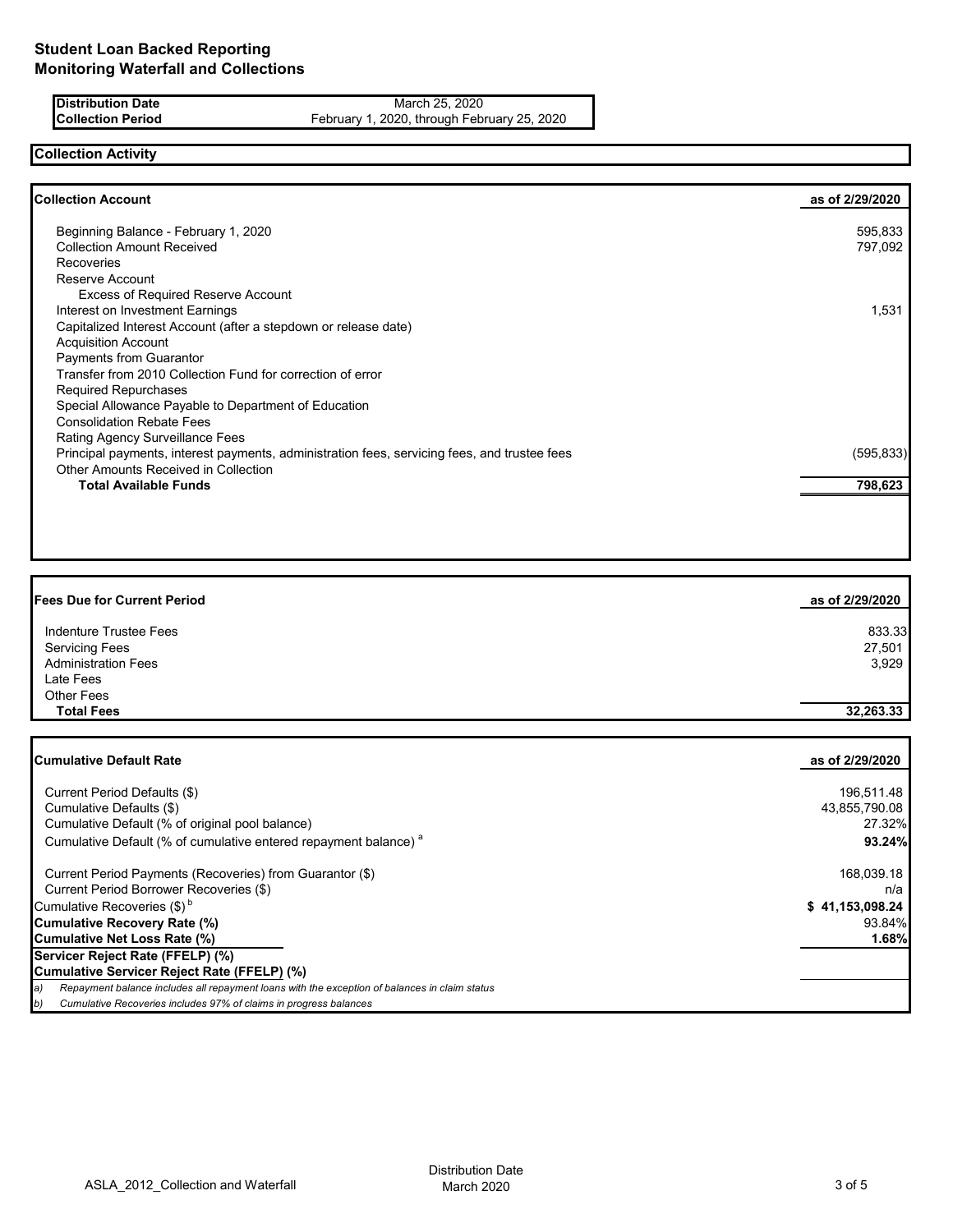**Distribution Date** March 25, 2020<br>**Collection Period** February 1, 2020, through February 1, 2020, through February 1, 2020, through February 1, 2020, through February 1, 2020, through February 1, 2020, through February 1, February 1, 2020, through February 25, 2020

### **Collection Activity**

| <b>Collection Account</b>                                                                    | as of 2/29/2020 |
|----------------------------------------------------------------------------------------------|-----------------|
| Beginning Balance - February 1, 2020                                                         | 595,833         |
| <b>Collection Amount Received</b>                                                            | 797,092         |
| <b>Recoveries</b>                                                                            |                 |
| Reserve Account                                                                              |                 |
| <b>Excess of Required Reserve Account</b>                                                    |                 |
| Interest on Investment Earnings                                                              | 1,531           |
| Capitalized Interest Account (after a stepdown or release date)                              |                 |
| <b>Acquisition Account</b>                                                                   |                 |
| Payments from Guarantor                                                                      |                 |
| Transfer from 2010 Collection Fund for correction of error                                   |                 |
| <b>Required Repurchases</b>                                                                  |                 |
| Special Allowance Payable to Department of Education                                         |                 |
| <b>Consolidation Rebate Fees</b>                                                             |                 |
| <b>Rating Agency Surveillance Fees</b>                                                       |                 |
| Principal payments, interest payments, administration fees, servicing fees, and trustee fees | (595, 833)      |
| <b>Other Amounts Received in Collection</b>                                                  |                 |
| <b>Total Available Funds</b>                                                                 | 798,623         |

| <b>Fees Due for Current Period</b> | as of 2/29/2020 |
|------------------------------------|-----------------|
| Indenture Trustee Fees             | 833.33          |
| <b>Servicing Fees</b>              | 27,501          |
| <b>Administration Fees</b>         | 3,929           |
| Late Fees                          |                 |
| Other Fees                         |                 |
| <b>Total Fees</b>                  | 32,263.33       |

| <b>ICumulative Default Rate</b>                                                                     | as of 2/29/2020 |
|-----------------------------------------------------------------------------------------------------|-----------------|
|                                                                                                     |                 |
| Current Period Defaults (\$)                                                                        | 196,511.48      |
| Cumulative Defaults (\$)                                                                            | 43,855,790.08   |
| Cumulative Default (% of original pool balance)                                                     | 27.32%          |
| Cumulative Default (% of cumulative entered repayment balance) <sup>a</sup>                         | 93.24%          |
| Current Period Payments (Recoveries) from Guarantor (\$)                                            | 168,039.18      |
| Current Period Borrower Recoveries (\$)                                                             | n/a             |
| Cumulative Recoveries $(\$)^b$                                                                      | \$41,153,098.24 |
| Cumulative Recovery Rate (%)                                                                        | 93.84%          |
| Cumulative Net Loss Rate (%)                                                                        | 1.68%           |
| Servicer Reject Rate (FFELP) (%)                                                                    |                 |
| Cumulative Servicer Reject Rate (FFELP) (%)                                                         |                 |
| Repayment balance includes all repayment loans with the exception of balances in claim status<br>a) |                 |
| Cumulative Recoveries includes 97% of claims in progress balances<br>b)                             |                 |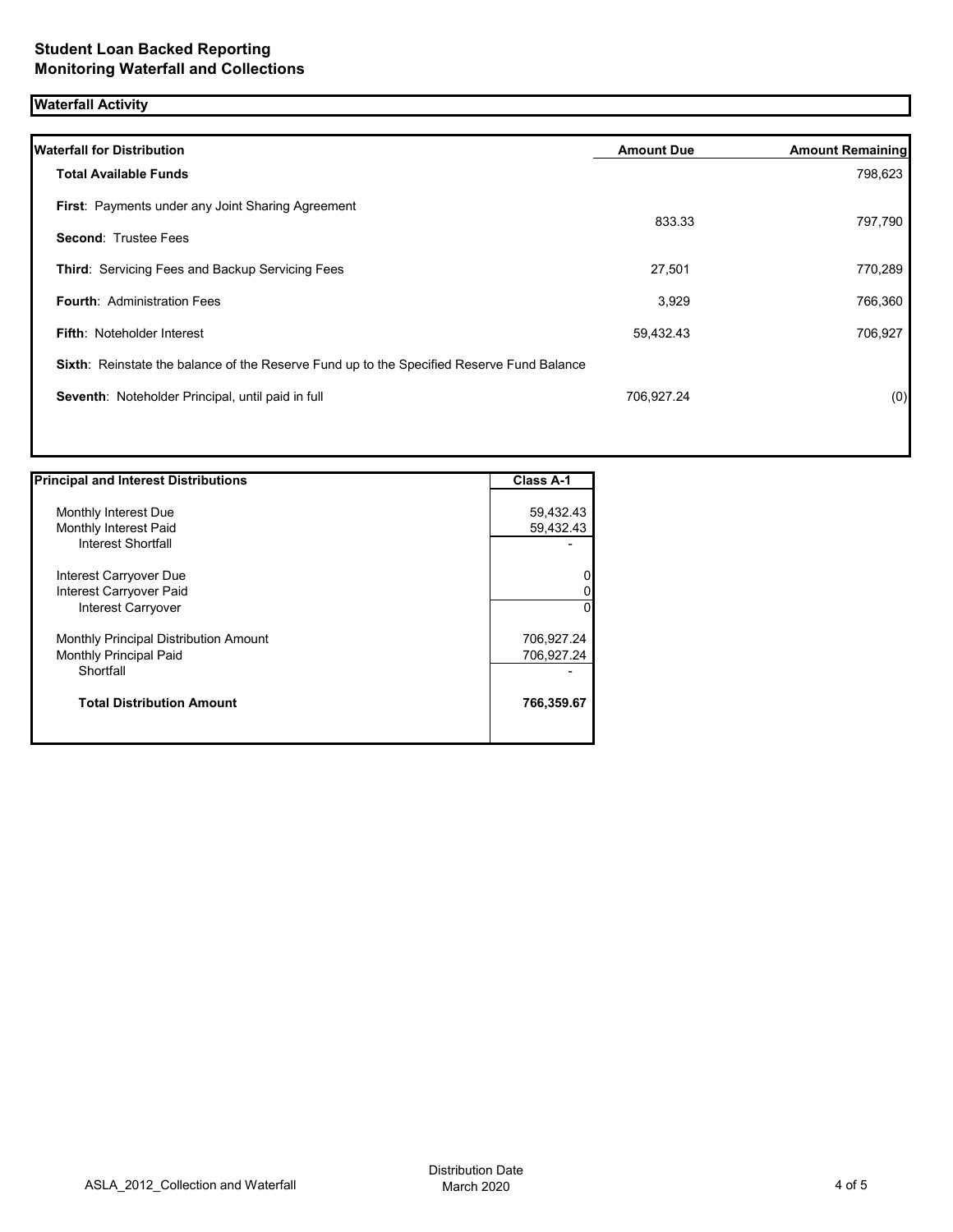# **Waterfall Activity**

| <b>Waterfall for Distribution</b>                                                         | <b>Amount Due</b> | <b>Amount Remaining</b> |
|-------------------------------------------------------------------------------------------|-------------------|-------------------------|
| <b>Total Available Funds</b>                                                              |                   | 798,623                 |
| <b>First: Payments under any Joint Sharing Agreement</b>                                  |                   |                         |
| <b>Second: Trustee Fees</b>                                                               | 833.33            | 797,790                 |
| Third: Servicing Fees and Backup Servicing Fees                                           | 27,501            | 770,289                 |
| <b>Fourth: Administration Fees</b>                                                        | 3,929             | 766,360                 |
| <b>Fifth: Noteholder Interest</b>                                                         | 59,432.43         | 706,927                 |
| Sixth: Reinstate the balance of the Reserve Fund up to the Specified Reserve Fund Balance |                   |                         |
| Seventh: Noteholder Principal, until paid in full                                         | 706,927.24        | (0)                     |

| <b>Principal and Interest Distributions</b> | <b>Class A-1</b> |
|---------------------------------------------|------------------|
|                                             |                  |
| Monthly Interest Due                        | 59,432.43        |
| Monthly Interest Paid                       | 59,432.43        |
| Interest Shortfall                          |                  |
| Interest Carryover Due                      | 0                |
| Interest Carryover Paid                     | 0                |
| Interest Carryover                          | $\Omega$         |
| Monthly Principal Distribution Amount       | 706,927.24       |
| <b>Monthly Principal Paid</b>               | 706,927.24       |
| Shortfall                                   |                  |
| <b>Total Distribution Amount</b>            | 766,359.67       |
|                                             |                  |